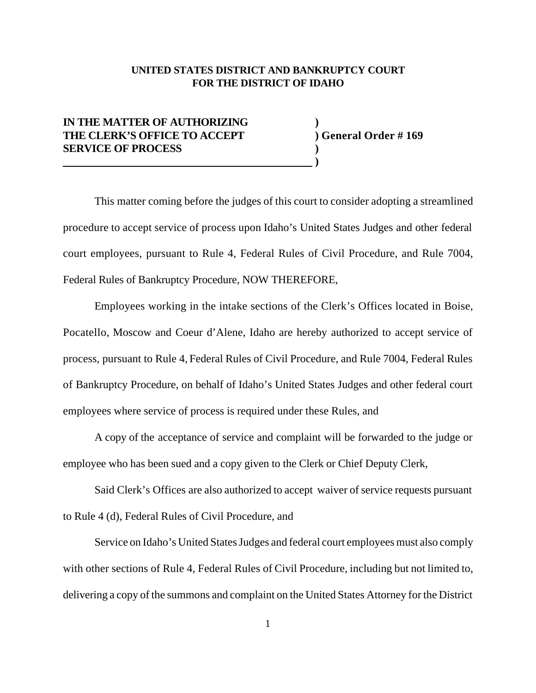## **UNITED STATES DISTRICT AND BANKRUPTCY COURT FOR THE DISTRICT OF IDAHO**

## **IN THE MATTER OF AUTHORIZING ) THE CLERK'S OFFICE TO ACCEPT ) General Order # 169 SERVICE OF PROCESS )**

 **)**

This matter coming before the judges of this court to consider adopting a streamlined procedure to accept service of process upon Idaho's United States Judges and other federal court employees, pursuant to Rule 4, Federal Rules of Civil Procedure, and Rule 7004, Federal Rules of Bankruptcy Procedure, NOW THEREFORE,

Employees working in the intake sections of the Clerk's Offices located in Boise, Pocatello, Moscow and Coeur d'Alene, Idaho are hereby authorized to accept service of process, pursuant to Rule 4, Federal Rules of Civil Procedure, and Rule 7004, Federal Rules of Bankruptcy Procedure, on behalf of Idaho's United States Judges and other federal court employees where service of process is required under these Rules, and

A copy of the acceptance of service and complaint will be forwarded to the judge or employee who has been sued and a copy given to the Clerk or Chief Deputy Clerk,

Said Clerk's Offices are also authorized to accept waiver of service requests pursuant to Rule 4 (d), Federal Rules of Civil Procedure, and

Service on Idaho's United States Judges and federal court employees must also comply with other sections of Rule 4, Federal Rules of Civil Procedure, including but not limited to, delivering a copy of the summons and complaint on the United States Attorney for the District